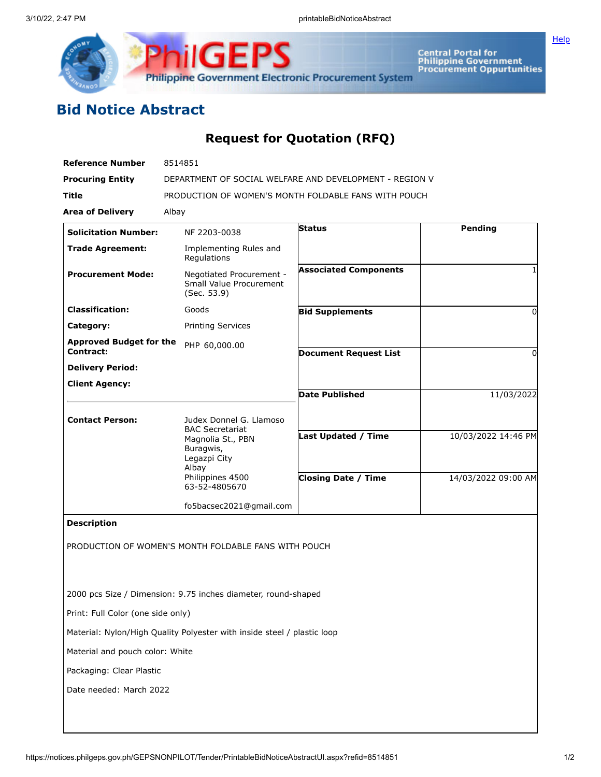

Central Portal for<br>Philippine Government<br>Procurement Oppurtunities

## **Bid Notice Abstract**

## **Request for Quotation (RFQ)**

| <b>Reference Number</b>                     | 8514851                                                                                             |                              |                     |
|---------------------------------------------|-----------------------------------------------------------------------------------------------------|------------------------------|---------------------|
| <b>Procuring Entity</b>                     | DEPARTMENT OF SOCIAL WELFARE AND DEVELOPMENT - REGION V                                             |                              |                     |
| <b>Title</b>                                | PRODUCTION OF WOMEN'S MONTH FOLDABLE FANS WITH POUCH                                                |                              |                     |
| <b>Area of Delivery</b>                     | Albay                                                                                               |                              |                     |
| <b>Solicitation Number:</b>                 | NF 2203-0038                                                                                        | <b>Status</b>                | Pending             |
| <b>Trade Agreement:</b>                     | Implementing Rules and<br>Regulations                                                               |                              |                     |
| <b>Procurement Mode:</b>                    | Negotiated Procurement -<br>Small Value Procurement<br>(Sec. 53.9)                                  | <b>Associated Components</b> |                     |
| <b>Classification:</b>                      | Goods                                                                                               | <b>Bid Supplements</b>       | 0                   |
| Category:                                   | <b>Printing Services</b>                                                                            |                              |                     |
| <b>Approved Budget for the</b><br>Contract: | PHP 60,000.00                                                                                       |                              |                     |
| <b>Delivery Period:</b>                     |                                                                                                     | <b>Document Request List</b> | 0                   |
| <b>Client Agency:</b>                       |                                                                                                     |                              |                     |
|                                             |                                                                                                     | <b>Date Published</b>        | 11/03/2022          |
|                                             |                                                                                                     |                              |                     |
| <b>Contact Person:</b>                      | Judex Donnel G. Llamoso<br><b>BAC Secretariat</b><br>Magnolia St., PBN<br>Buragwis,<br>Legazpi City |                              |                     |
|                                             |                                                                                                     | <b>Last Updated / Time</b>   | 10/03/2022 14:46 PM |
|                                             | Albay<br>Philippines 4500<br>63-52-4805670                                                          | <b>Closing Date / Time</b>   | 14/03/2022 09:00 AM |
|                                             | fo5bacsec2021@gmail.com                                                                             |                              |                     |
| <b>Description</b>                          |                                                                                                     |                              |                     |
|                                             | PRODUCTION OF WOMEN'S MONTH FOLDABLE FANS WITH POUCH                                                |                              |                     |
|                                             | 2000 pcs Size / Dimension: 9.75 inches diameter, round-shaped                                       |                              |                     |
| Print: Full Color (one side only)           |                                                                                                     |                              |                     |
|                                             | Material: Nylon/High Quality Polyester with inside steel / plastic loop                             |                              |                     |
| Material and pouch color: White             |                                                                                                     |                              |                     |
| Packaging: Clear Plastic                    |                                                                                                     |                              |                     |
| Date needed: March 2022                     |                                                                                                     |                              |                     |
|                                             |                                                                                                     |                              |                     |